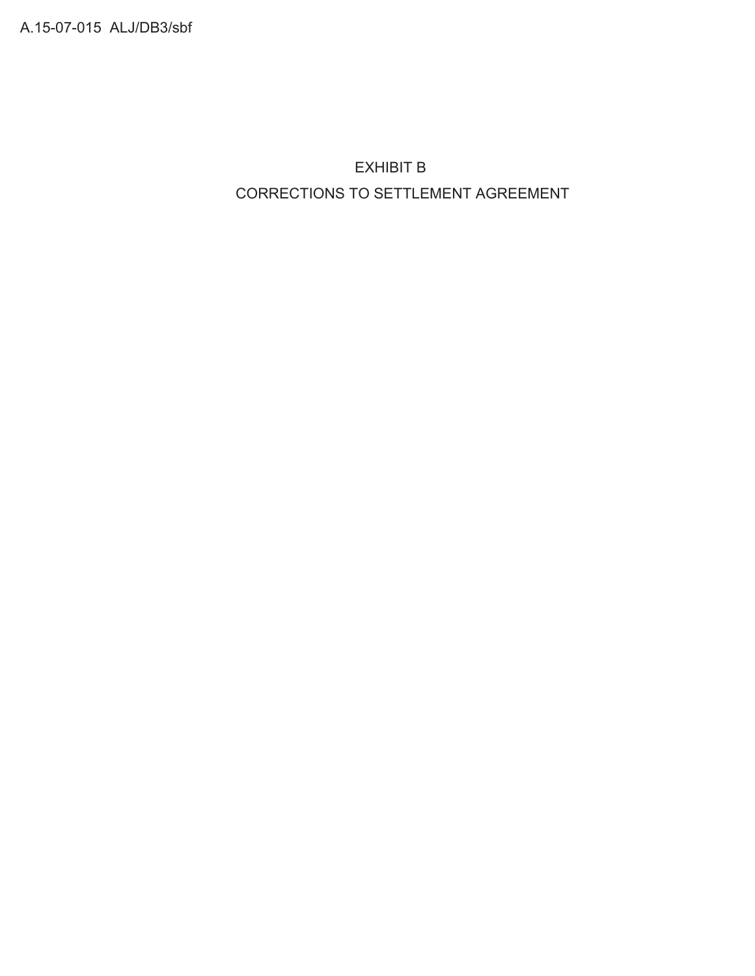A.15-07-015 ALJ/DB3/sbf

 EXHIBIT B CORRECTIONS TO SETTLEMENT AGREEMENT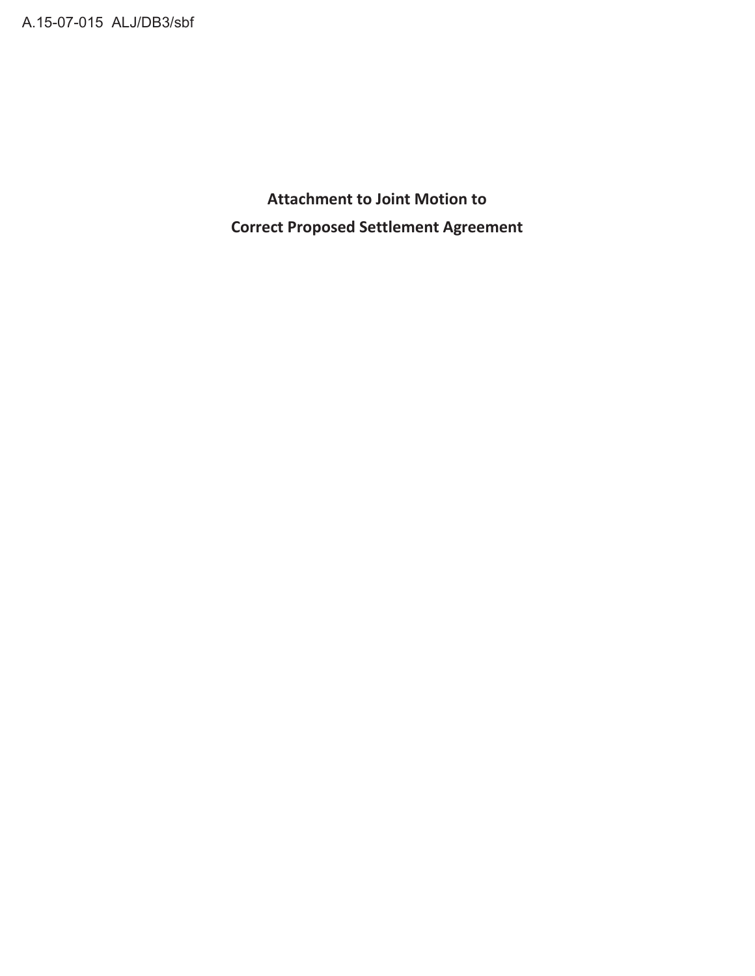**Attachment to Joint Motion to Correct Proposed Settlement Agreement**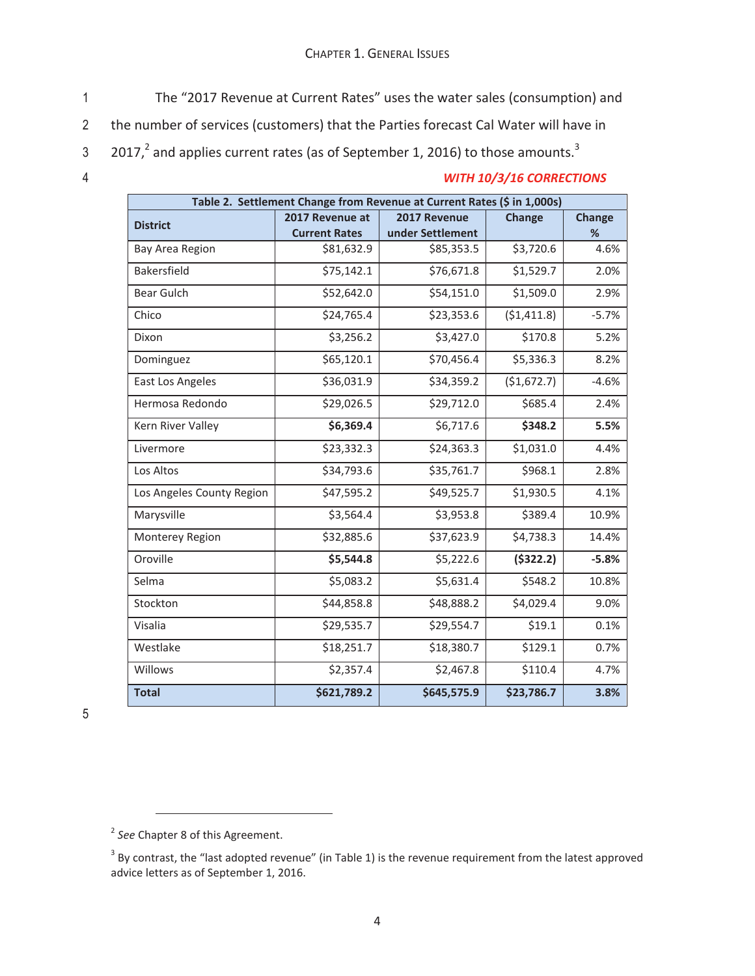- 1 The "2017 Revenue at Current Rates" uses the water sales (consumption) and
- 2 the number of services (customers) that the Parties forecast Cal Water will have in
- 3  $-$  2017,<sup>2</sup> and applies current rates (as of September 1, 2016) to those amounts.<sup>3</sup>
- 

## 4 *WITH 10/3/16 CORRECTIONS*

| Table 2. Settlement Change from Revenue at Current Rates (\$ in 1,000s) |                      |                  |             |               |  |  |  |  |
|-------------------------------------------------------------------------|----------------------|------------------|-------------|---------------|--|--|--|--|
| <b>District</b>                                                         | 2017 Revenue at      | 2017 Revenue     | Change      | <b>Change</b> |  |  |  |  |
|                                                                         | <b>Current Rates</b> | under Settlement |             | $\%$          |  |  |  |  |
| Bay Area Region                                                         | \$81,632.9           | \$85,353.5       | \$3,720.6   | 4.6%          |  |  |  |  |
| Bakersfield                                                             | \$75,142.1           | \$76,671.8       | \$1,529.7   | 2.0%          |  |  |  |  |
| <b>Bear Gulch</b>                                                       | \$52,642.0           | \$54,151.0       | \$1,509.0   | 2.9%          |  |  |  |  |
| Chico                                                                   | \$24,765.4           | \$23,353.6       | (51, 411.8) | $-5.7%$       |  |  |  |  |
| Dixon                                                                   | \$3,256.2            | \$3,427.0        | \$170.8     | 5.2%          |  |  |  |  |
| Dominguez                                                               | \$65,120.1           | \$70,456.4       | \$5,336.3   | 8.2%          |  |  |  |  |
| East Los Angeles                                                        | \$36,031.9           | \$34,359.2       | (\$1,672.7) | $-4.6%$       |  |  |  |  |
| Hermosa Redondo                                                         | \$29,026.5           | \$29,712.0       | \$685.4     | 2.4%          |  |  |  |  |
| Kern River Valley                                                       | \$6,369.4            | \$6,717.6        | \$348.2     | 5.5%          |  |  |  |  |
| Livermore                                                               | \$23,332.3           | \$24,363.3       | \$1,031.0   | 4.4%          |  |  |  |  |
| Los Altos                                                               | \$34,793.6           | \$35,761.7       | \$968.1     | 2.8%          |  |  |  |  |
| Los Angeles County Region                                               | \$47,595.2           | \$49,525.7       | \$1,930.5   | 4.1%          |  |  |  |  |
| Marysville                                                              | \$3,564.4            | \$3,953.8        | \$389.4     | 10.9%         |  |  |  |  |
| Monterey Region                                                         | \$32,885.6           | \$37,623.9       | \$4,738.3   | 14.4%         |  |  |  |  |
| Oroville                                                                | \$5,544.8            | \$5,222.6        | (5322.2)    | $-5.8%$       |  |  |  |  |
| Selma                                                                   | \$5,083.2            | \$5,631.4        | \$548.2     | 10.8%         |  |  |  |  |
| Stockton                                                                | \$44,858.8           | \$48,888.2       | \$4,029.4   | 9.0%          |  |  |  |  |
| Visalia                                                                 | \$29,535.7           | \$29,554.7       | \$19.1      | 0.1%          |  |  |  |  |
| Westlake                                                                | \$18,251.7           | \$18,380.7       | \$129.1     | 0.7%          |  |  |  |  |
| Willows                                                                 | \$2,357.4            | \$2,467.8        | \$110.4     | 4.7%          |  |  |  |  |
| <b>Total</b>                                                            | \$621,789.2          | \$645,575.9      | \$23,786.7  | 3.8%          |  |  |  |  |

<sup>2</sup> *See* Chapter 8 of this Agreement.

 $3$  By contrast, the "last adopted revenue" (in Table 1) is the revenue requirement from the latest approved advice letters as of September 1, 2016.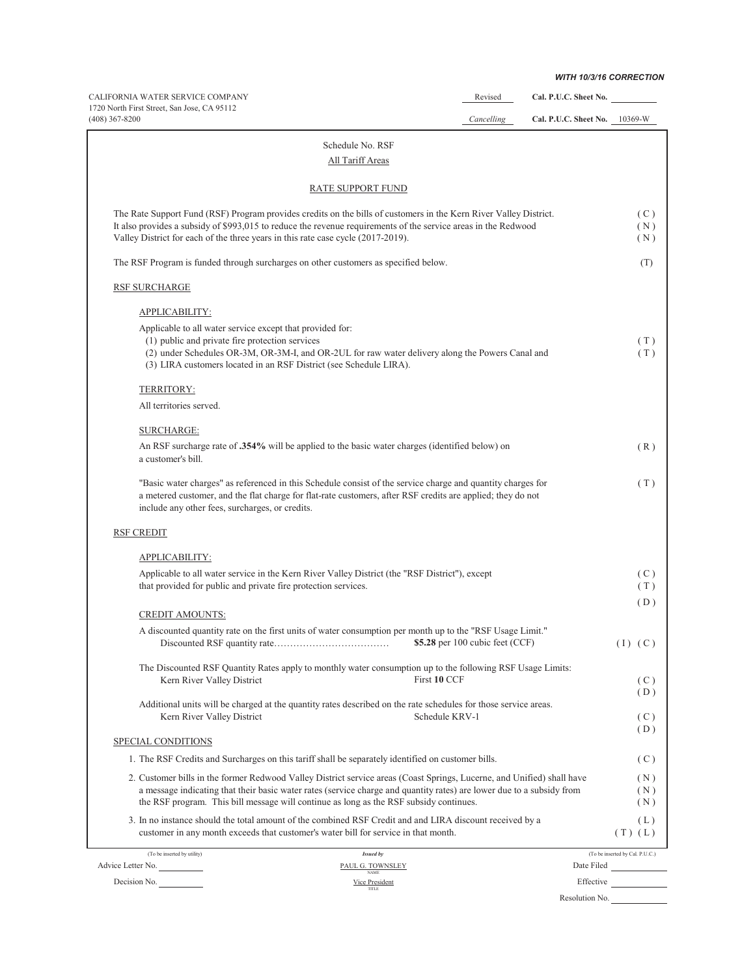*WITH 10/3/16 CORRECTION*

| CALIFORNIA WATER SERVICE COMPANY                                                                                                                                                                                                                                                                                                          |                                 | Revised                           | Cal. P.U.C. Sheet No.         |                                 |
|-------------------------------------------------------------------------------------------------------------------------------------------------------------------------------------------------------------------------------------------------------------------------------------------------------------------------------------------|---------------------------------|-----------------------------------|-------------------------------|---------------------------------|
| 1720 North First Street, San Jose, CA 95112<br>$(408)$ 367-8200                                                                                                                                                                                                                                                                           |                                 | Cancelling                        | Cal. P.U.C. Sheet No. 10369-W |                                 |
| Schedule No. RSF                                                                                                                                                                                                                                                                                                                          |                                 |                                   |                               |                                 |
| All Tariff Areas                                                                                                                                                                                                                                                                                                                          |                                 |                                   |                               |                                 |
| <b>RATE SUPPORT FUND</b>                                                                                                                                                                                                                                                                                                                  |                                 |                                   |                               |                                 |
| The Rate Support Fund (RSF) Program provides credits on the bills of customers in the Kern River Valley District.                                                                                                                                                                                                                         |                                 |                                   |                               | (C)                             |
| It also provides a subsidy of \$993,015 to reduce the revenue requirements of the service areas in the Redwood<br>Valley District for each of the three years in this rate case cycle (2017-2019).                                                                                                                                        |                                 |                                   |                               | (N)<br>(N)                      |
| The RSF Program is funded through surcharges on other customers as specified below.                                                                                                                                                                                                                                                       |                                 |                                   |                               | (T)                             |
| RSF SURCHARGE                                                                                                                                                                                                                                                                                                                             |                                 |                                   |                               |                                 |
| APPLICABILITY:                                                                                                                                                                                                                                                                                                                            |                                 |                                   |                               |                                 |
| Applicable to all water service except that provided for:                                                                                                                                                                                                                                                                                 |                                 |                                   |                               |                                 |
| (1) public and private fire protection services<br>(2) under Schedules OR-3M, OR-3M-I, and OR-2UL for raw water delivery along the Powers Canal and<br>(3) LIRA customers located in an RSF District (see Schedule LIRA).                                                                                                                 |                                 |                                   |                               | (T)<br>(T)                      |
| TERRITORY:                                                                                                                                                                                                                                                                                                                                |                                 |                                   |                               |                                 |
| All territories served.                                                                                                                                                                                                                                                                                                                   |                                 |                                   |                               |                                 |
| <b>SURCHARGE:</b>                                                                                                                                                                                                                                                                                                                         |                                 |                                   |                               |                                 |
| An RSF surcharge rate of .354% will be applied to the basic water charges (identified below) on<br>a customer's bill.                                                                                                                                                                                                                     |                                 |                                   |                               | (R)                             |
| "Basic water charges" as referenced in this Schedule consist of the service charge and quantity charges for<br>a metered customer, and the flat charge for flat-rate customers, after RSF credits are applied; they do not<br>include any other fees, surcharges, or credits.                                                             |                                 |                                   |                               | (T)                             |
| <b>RSF CREDIT</b>                                                                                                                                                                                                                                                                                                                         |                                 |                                   |                               |                                 |
| APPLICABILITY:                                                                                                                                                                                                                                                                                                                            |                                 |                                   |                               |                                 |
| Applicable to all water service in the Kern River Valley District (the "RSF District"), except<br>that provided for public and private fire protection services.                                                                                                                                                                          |                                 |                                   |                               | (C)<br>(T)                      |
| <b>CREDIT AMOUNTS:</b>                                                                                                                                                                                                                                                                                                                    |                                 |                                   |                               | (D)                             |
| A discounted quantity rate on the first units of water consumption per month up to the "RSF Usage Limit."                                                                                                                                                                                                                                 |                                 |                                   |                               |                                 |
|                                                                                                                                                                                                                                                                                                                                           |                                 | \$5.28 per 100 cubic feet $(CCF)$ |                               | $(I)$ $(C)$                     |
| The Discounted RSF Quantity Rates apply to monthly water consumption up to the following RSF Usage Limits:                                                                                                                                                                                                                                |                                 |                                   |                               |                                 |
| Kern River Valley District                                                                                                                                                                                                                                                                                                                | First 10 CCF                    |                                   |                               | (C)<br>(D)                      |
| Additional units will be charged at the quantity rates described on the rate schedules for those service areas.<br>Kern River Valley District                                                                                                                                                                                             | Schedule KRV-1                  |                                   |                               | (C)                             |
| SPECIAL CONDITIONS                                                                                                                                                                                                                                                                                                                        |                                 |                                   |                               | (D)                             |
| 1. The RSF Credits and Surcharges on this tariff shall be separately identified on customer bills.                                                                                                                                                                                                                                        |                                 |                                   |                               | (C)                             |
| 2. Customer bills in the former Redwood Valley District service areas (Coast Springs, Lucerne, and Unified) shall have<br>a message indicating that their basic water rates (service charge and quantity rates) are lower due to a subsidy from<br>the RSF program. This bill message will continue as long as the RSF subsidy continues. |                                 |                                   |                               | (N)<br>(N)<br>(N)               |
| 3. In no instance should the total amount of the combined RSF Credit and and LIRA discount received by a<br>customer in any month exceeds that customer's water bill for service in that month.                                                                                                                                           |                                 |                                   |                               | (L)<br>$(T)$ $(L)$              |
| (To be inserted by utility)                                                                                                                                                                                                                                                                                                               | Issued by                       |                                   |                               | (To be inserted by Cal. P.U.C.) |
| Advice Letter No.                                                                                                                                                                                                                                                                                                                         | PAUL G. TOWNSLEY<br><b>NAME</b> |                                   |                               | Date Filed                      |
| Decision No.                                                                                                                                                                                                                                                                                                                              | Vice President<br><b>TITLE</b>  |                                   | Effective                     |                                 |

Resolution No.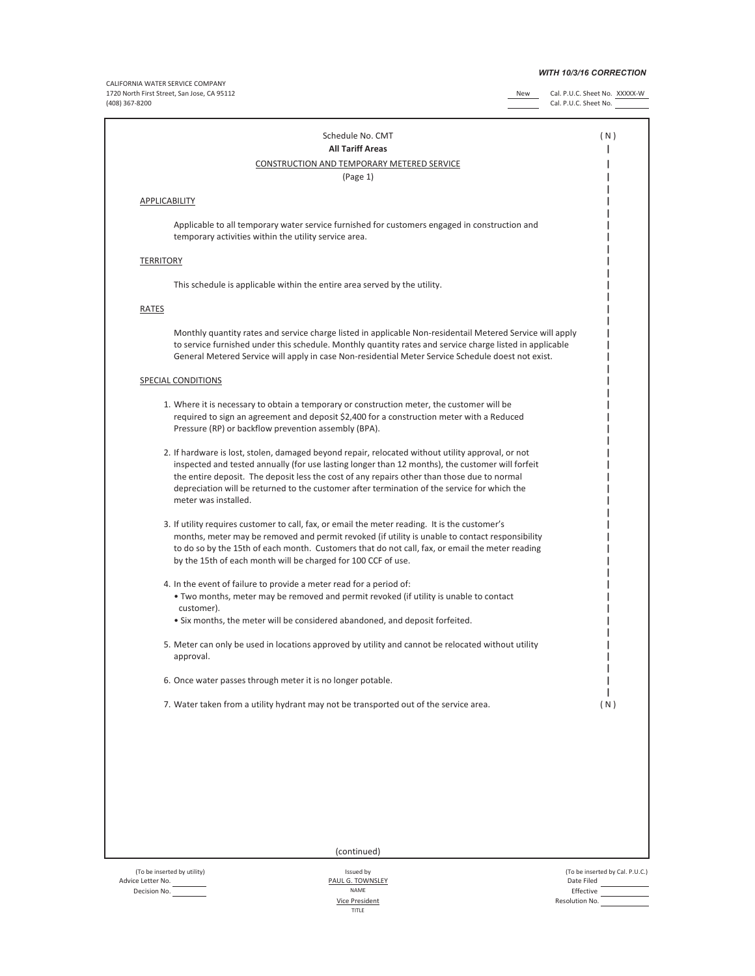## *WITH 10/3/16 CORRECTION*

CALIFORNIA WATER SERVICE COMPANY 1720 North First Street, San Jose, CA 95112 New Cal. P.U.C. Sheet No. XXXXX-W (408) 367-8200 Cal. P.U.C. Sheet No.

| Schedule No. CMT<br><b>All Tariff Areas</b>                                                                                                                                                                                                                                                                                                                                                                                  | (N) |
|------------------------------------------------------------------------------------------------------------------------------------------------------------------------------------------------------------------------------------------------------------------------------------------------------------------------------------------------------------------------------------------------------------------------------|-----|
| CONSTRUCTION AND TEMPORARY METERED SERVICE                                                                                                                                                                                                                                                                                                                                                                                   |     |
| (Page 1)                                                                                                                                                                                                                                                                                                                                                                                                                     |     |
| <b>APPLICABILITY</b>                                                                                                                                                                                                                                                                                                                                                                                                         |     |
| Applicable to all temporary water service furnished for customers engaged in construction and<br>temporary activities within the utility service area.                                                                                                                                                                                                                                                                       |     |
| <b>TERRITORY</b>                                                                                                                                                                                                                                                                                                                                                                                                             |     |
| This schedule is applicable within the entire area served by the utility.                                                                                                                                                                                                                                                                                                                                                    |     |
| <b>RATES</b>                                                                                                                                                                                                                                                                                                                                                                                                                 |     |
| Monthly quantity rates and service charge listed in applicable Non-residentail Metered Service will apply<br>to service furnished under this schedule. Monthly quantity rates and service charge listed in applicable<br>General Metered Service will apply in case Non-residential Meter Service Schedule doest not exist.                                                                                                  |     |
| <b>SPECIAL CONDITIONS</b>                                                                                                                                                                                                                                                                                                                                                                                                    |     |
| 1. Where it is necessary to obtain a temporary or construction meter, the customer will be<br>required to sign an agreement and deposit \$2,400 for a construction meter with a Reduced<br>Pressure (RP) or backflow prevention assembly (BPA).                                                                                                                                                                              |     |
| 2. If hardware is lost, stolen, damaged beyond repair, relocated without utility approval, or not<br>inspected and tested annually (for use lasting longer than 12 months), the customer will forfeit<br>the entire deposit. The deposit less the cost of any repairs other than those due to normal<br>depreciation will be returned to the customer after termination of the service for which the<br>meter was installed. |     |
| 3. If utility requires customer to call, fax, or email the meter reading. It is the customer's<br>months, meter may be removed and permit revoked (if utility is unable to contact responsibility<br>to do so by the 15th of each month. Customers that do not call, fax, or email the meter reading<br>by the 15th of each month will be charged for 100 CCF of use.                                                        |     |
| 4. In the event of failure to provide a meter read for a period of:<br>. Two months, meter may be removed and permit revoked (if utility is unable to contact<br>customer).<br>• Six months, the meter will be considered abandoned, and deposit forfeited.                                                                                                                                                                  |     |
| 5. Meter can only be used in locations approved by utility and cannot be relocated without utility<br>approval.                                                                                                                                                                                                                                                                                                              |     |
| 6. Once water passes through meter it is no longer potable.                                                                                                                                                                                                                                                                                                                                                                  |     |
| 7. Water taken from a utility hydrant may not be transported out of the service area.                                                                                                                                                                                                                                                                                                                                        | (N) |
|                                                                                                                                                                                                                                                                                                                                                                                                                              |     |
| (continued)                                                                                                                                                                                                                                                                                                                                                                                                                  |     |

Advice Letter No. PAUL G. TOWNSLEY Date Filed Decision No. **Effective Effective CONSIDERENT CONSIDERENT CONSIDERENT CONSIDERENT CONSIDERENT CONSIDERENT CONSIDERENT CONSIDERENT CONSIDERENT CONSIDERED ASSOCIATE OF THE CONSIDERED ASSOCIATE OF THE CONSIDERED ASSOCIATE** 

Vice President

(To be inserted by utility) Issued by (To be inserted by Cal. P.U.C.) Resolution No.